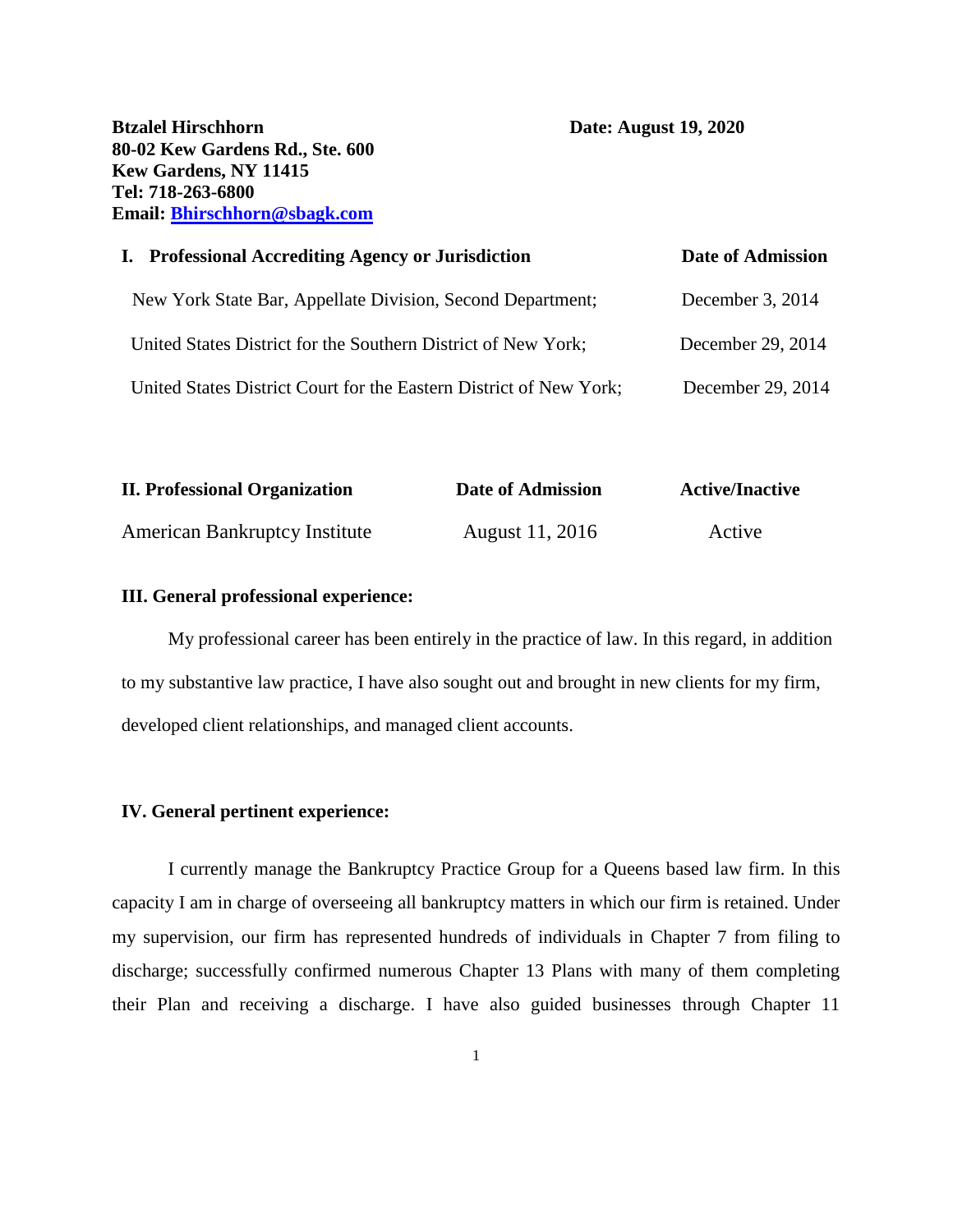**Btzalel Hirschhorn Date: August 19, 2020 80-02 Kew Gardens Rd., Ste. 600 Kew Gardens, NY 11415 Tel: 718-263-6800 Email: [Bhirschhorn@sbagk.com](mailto:Bhirschhorn@sbagk.com)**

| I. Professional Accrediting Agency or Jurisdiction                 | <b>Date of Admission</b> |
|--------------------------------------------------------------------|--------------------------|
| New York State Bar, Appellate Division, Second Department;         | December 3, 2014         |
| United States District for the Southern District of New York;      | December 29, 2014        |
| United States District Court for the Eastern District of New York; | December 29, 2014        |

| <b>II. Professional Organization</b> | Date of Admission | <b>Active/Inactive</b> |  |
|--------------------------------------|-------------------|------------------------|--|
| <b>American Bankruptcy Institute</b> | August 11, 2016   | Active                 |  |

### **III. General professional experience:**

My professional career has been entirely in the practice of law. In this regard, in addition to my substantive law practice, I have also sought out and brought in new clients for my firm, developed client relationships, and managed client accounts.

### **IV. General pertinent experience:**

I currently manage the Bankruptcy Practice Group for a Queens based law firm. In this capacity I am in charge of overseeing all bankruptcy matters in which our firm is retained. Under my supervision, our firm has represented hundreds of individuals in Chapter 7 from filing to discharge; successfully confirmed numerous Chapter 13 Plans with many of them completing their Plan and receiving a discharge. I have also guided businesses through Chapter 11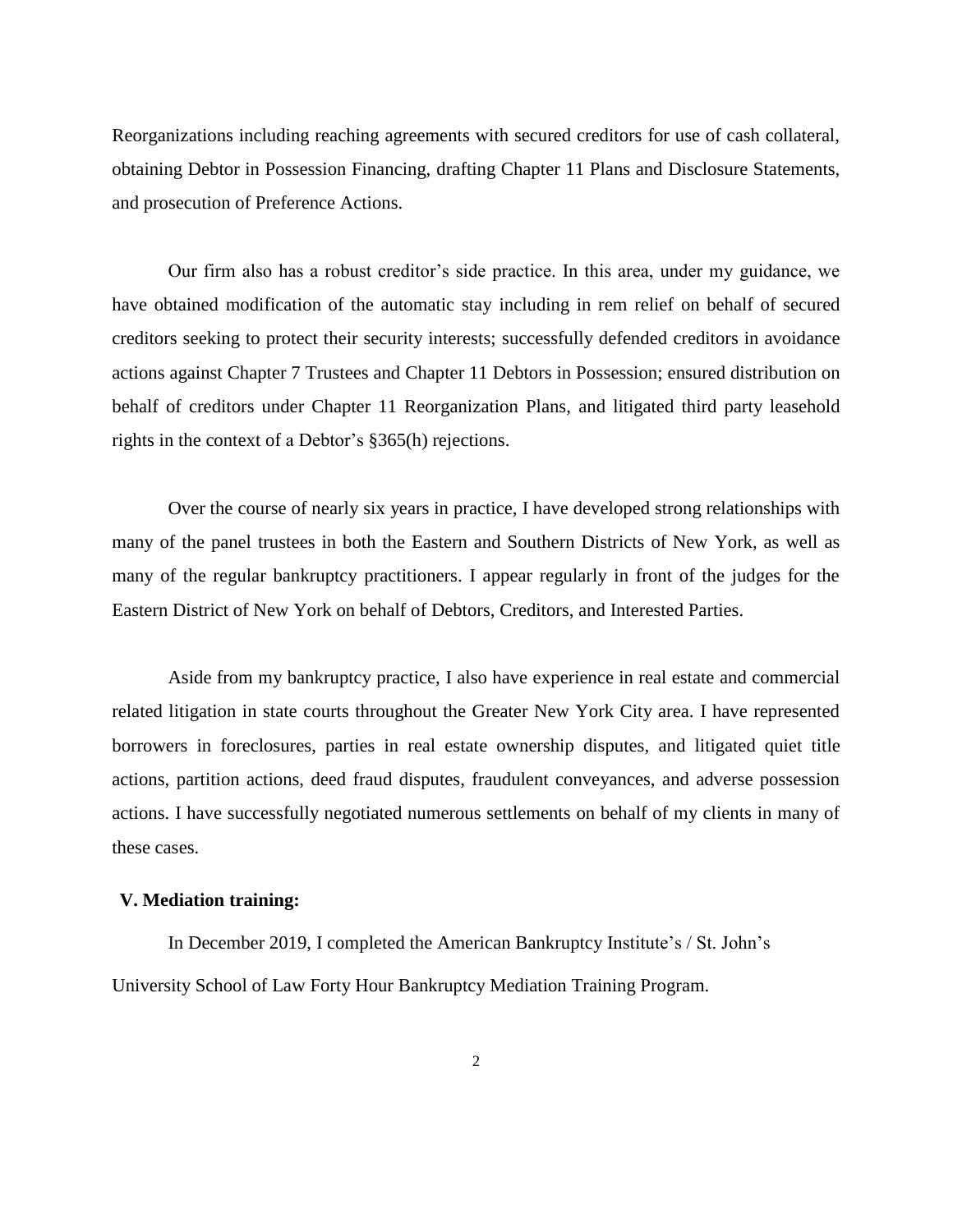Reorganizations including reaching agreements with secured creditors for use of cash collateral, obtaining Debtor in Possession Financing, drafting Chapter 11 Plans and Disclosure Statements, and prosecution of Preference Actions.

Our firm also has a robust creditor's side practice. In this area, under my guidance, we have obtained modification of the automatic stay including in rem relief on behalf of secured creditors seeking to protect their security interests; successfully defended creditors in avoidance actions against Chapter 7 Trustees and Chapter 11 Debtors in Possession; ensured distribution on behalf of creditors under Chapter 11 Reorganization Plans, and litigated third party leasehold rights in the context of a Debtor's §365(h) rejections.

Over the course of nearly six years in practice, I have developed strong relationships with many of the panel trustees in both the Eastern and Southern Districts of New York, as well as many of the regular bankruptcy practitioners. I appear regularly in front of the judges for the Eastern District of New York on behalf of Debtors, Creditors, and Interested Parties.

Aside from my bankruptcy practice, I also have experience in real estate and commercial related litigation in state courts throughout the Greater New York City area. I have represented borrowers in foreclosures, parties in real estate ownership disputes, and litigated quiet title actions, partition actions, deed fraud disputes, fraudulent conveyances, and adverse possession actions. I have successfully negotiated numerous settlements on behalf of my clients in many of these cases.

## **V. Mediation training:**

In December 2019, I completed the American Bankruptcy Institute's / St. John's University School of Law Forty Hour Bankruptcy Mediation Training Program.